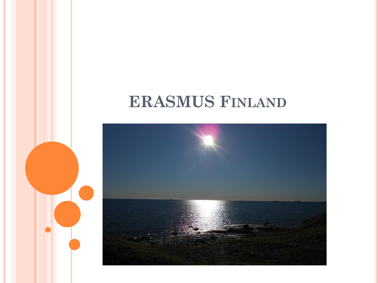## **ERASMUS FINLAND**

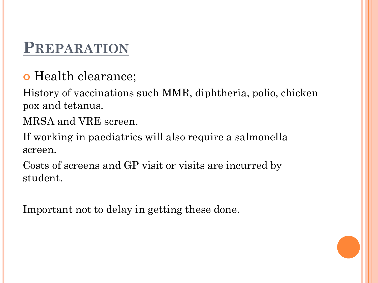## **PREPARATION**

#### o Health clearance;

History of vaccinations such MMR, diphtheria, polio, chicken pox and tetanus.

MRSA and VRE screen.

If working in paediatrics will also require a salmonella screen.

Costs of screens and GP visit or visits are incurred by student.

Important not to delay in getting these done.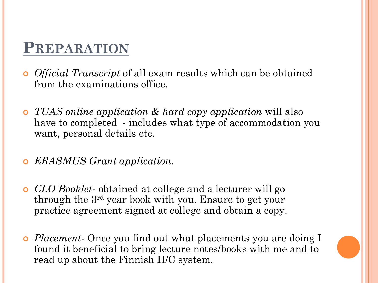#### **PREPARATION**

- *Official Transcript* of all exam results which can be obtained from the examinations office.
- *TUAS online application & hard copy application* will also have to completed - includes what type of accommodation you want, personal details etc.
- *ERASMUS Grant application*.
- *CLO Booklet* obtained at college and a lecturer will go through the 3rd year book with you. Ensure to get your practice agreement signed at college and obtain a copy.
- *Placement-* Once you find out what placements you are doing I found it beneficial to bring lecture notes/books with me and to read up about the Finnish H/C system.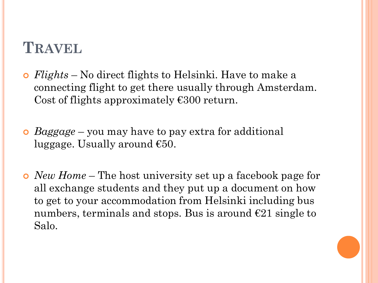#### **TRAVEL**

- *Flights* No direct flights to Helsinki. Have to make a connecting flight to get there usually through Amsterdam. Cost of flights approximately  $\epsilon$ 300 return.
- *Baggage* you may have to pay extra for additional luggage. Usually around  $€50$ .
- *New Home* The host university set up a facebook page for all exchange students and they put up a document on how to get to your accommodation from Helsinki including bus numbers, terminals and stops. Bus is around  $E21$  single to Salo.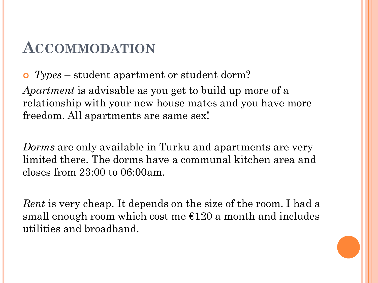#### **ACCOMMODATION**

*Types* – student apartment or student dorm?

*Apartment* is advisable as you get to build up more of a relationship with your new house mates and you have more freedom. All apartments are same sex!

*Dorms* are only available in Turku and apartments are very limited there. The dorms have a communal kitchen area and closes from 23:00 to 06:00am.

*Rent* is very cheap. It depends on the size of the room. I had a small enough room which cost me  $E120$  a month and includes utilities and broadband.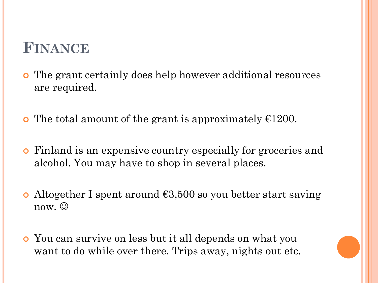#### **FINANCE**

- The grant certainly does help however additional resources are required.
- The total amount of the grant is approximately  $E1200$ .
- Finland is an expensive country especially for groceries and alcohol. You may have to shop in several places.
- Altogether I spent around  $\epsilon$ 3,500 so you better start saving now.  $\odot$
- You can survive on less but it all depends on what you want to do while over there. Trips away, nights out etc.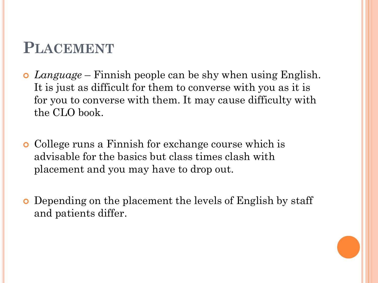#### **PLACEMENT**

- *Language* Finnish people can be shy when using English. It is just as difficult for them to converse with you as it is for you to converse with them. It may cause difficulty with the CLO book.
- College runs a Finnish for exchange course which is advisable for the basics but class times clash with placement and you may have to drop out.
- **•** Depending on the placement the levels of English by staff and patients differ.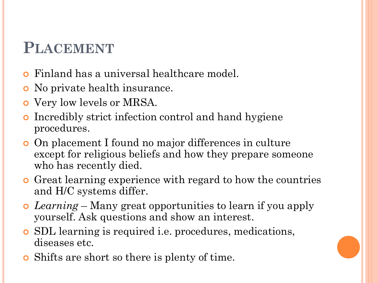### **PLACEMENT**

- Finland has a universal healthcare model.
- No private health insurance.
- Very low levels or MRSA.
- Incredibly strict infection control and hand hygiene procedures.
- On placement I found no major differences in culture except for religious beliefs and how they prepare someone who has recently died.
- Great learning experience with regard to how the countries and H/C systems differ.
- *Learning*  Many great opportunities to learn if you apply yourself. Ask questions and show an interest.
- SDL learning is required i.e. procedures, medications, diseases etc.
- Shifts are short so there is plenty of time.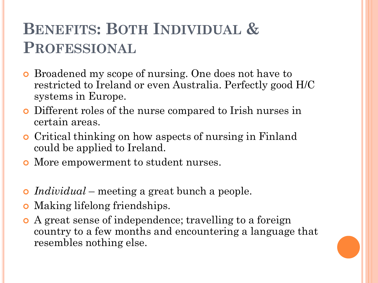# **BENEFITS: BOTH INDIVIDUAL & PROFESSIONAL**

- **•** Broadened my scope of nursing. One does not have to restricted to Ireland or even Australia. Perfectly good H/C systems in Europe.
- Different roles of the nurse compared to Irish nurses in certain areas.
- Critical thinking on how aspects of nursing in Finland could be applied to Ireland.
- More empowerment to student nurses.
- *Individual*  meeting a great bunch a people.
- Making lifelong friendships.
- A great sense of independence; travelling to a foreign country to a few months and encountering a language that resembles nothing else.